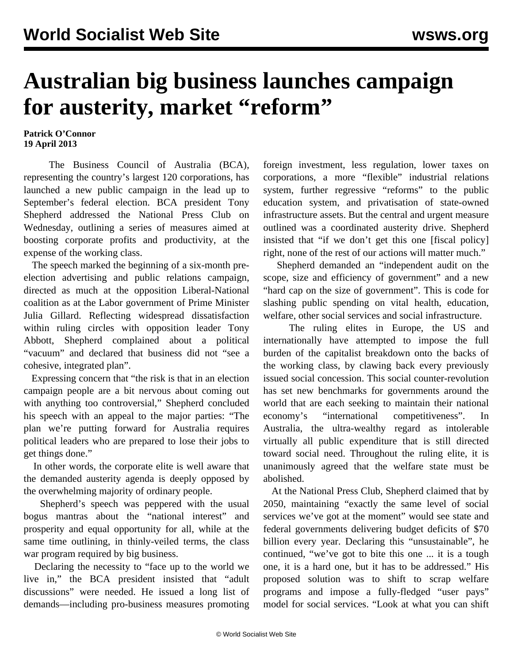## **Australian big business launches campaign for austerity, market "reform"**

**Patrick O'Connor 19 April 2013**

 The Business Council of Australia (BCA), representing the country's largest 120 corporations, has launched a new public campaign in the lead up to September's federal election. BCA president Tony Shepherd addressed the National Press Club on Wednesday, outlining a series of measures aimed at boosting corporate profits and productivity, at the expense of the working class.

 The speech marked the beginning of a six-month preelection advertising and public relations campaign, directed as much at the opposition Liberal-National coalition as at the Labor government of Prime Minister Julia Gillard. Reflecting widespread dissatisfaction within ruling circles with opposition leader Tony Abbott, Shepherd complained about a political "vacuum" and declared that business did not "see a cohesive, integrated plan".

 Expressing concern that "the risk is that in an election campaign people are a bit nervous about coming out with anything too controversial," Shepherd concluded his speech with an appeal to the major parties: "The plan we're putting forward for Australia requires political leaders who are prepared to lose their jobs to get things done."

 In other words, the corporate elite is well aware that the demanded austerity agenda is deeply opposed by the overwhelming majority of ordinary people.

 Shepherd's speech was peppered with the usual bogus mantras about the "national interest" and prosperity and equal opportunity for all, while at the same time outlining, in thinly-veiled terms, the class war program required by big business.

 Declaring the necessity to "face up to the world we live in," the BCA president insisted that "adult discussions" were needed. He issued a long list of demands—including pro-business measures promoting

foreign investment, less regulation, lower taxes on corporations, a more "flexible" industrial relations system, further regressive "reforms" to the public education system, and privatisation of state-owned infrastructure assets. But the central and urgent measure outlined was a coordinated austerity drive. Shepherd insisted that "if we don't get this one [fiscal policy] right, none of the rest of our actions will matter much."

 Shepherd demanded an "independent audit on the scope, size and efficiency of government" and a new "hard cap on the size of government". This is code for slashing public spending on vital health, education, welfare, other social services and social infrastructure.

 The ruling elites in Europe, the US and internationally have attempted to impose the full burden of the capitalist breakdown onto the backs of the working class, by clawing back every previously issued social concession. This social counter-revolution has set new benchmarks for governments around the world that are each seeking to maintain their national economy's "international competitiveness". In Australia, the ultra-wealthy regard as intolerable virtually all public expenditure that is still directed toward social need. Throughout the ruling elite, it is unanimously agreed that the welfare state must be abolished.

 At the National Press Club, Shepherd claimed that by 2050, maintaining "exactly the same level of social services we've got at the moment" would see state and federal governments delivering budget deficits of \$70 billion every year. Declaring this "unsustainable", he continued, "we've got to bite this one ... it is a tough one, it is a hard one, but it has to be addressed." His proposed solution was to shift to scrap welfare programs and impose a fully-fledged "user pays" model for social services. "Look at what you can shift